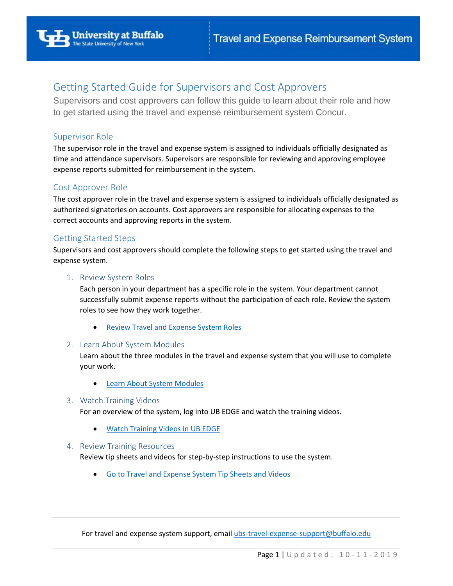

# Getting Started Guide for Supervisors and Cost Approvers

Supervisors and cost approvers can follow this guide to learn about their role and how to get started using the travel and expense reimbursement system Concur.

## Supervisor Role

The supervisor role in the travel and expense system is assigned to individuals officially designated as time and attendance supervisors. Supervisors are responsible for reviewing and approving employee expense reports submitted for reimbursement in the system.

## Cost Approver Role

The cost approver role in the travel and expense system is assigned to individuals officially designated as authorized signatories on accounts. Cost approvers are responsible for allocating expenses to the correct accounts and approving reports in the system.

# Getting Started Steps

Supervisors and cost approvers should complete the following steps to get started using the travel and expense system.

#### 1. Review System Roles

Each person in your department has a specific role in the system. Your department cannot successfully submit expense reports without the participation of each role. Review the system roles to see how they work together.

• [Review Travel and Expense System Roles](http://www.buffalo.edu/administrative-services/business-travel/travel-expense-reimbursement-system.html#travel-expense-system-roles)

## 2. Learn About System Modules

Learn about the three modules in the travel and expense system that you will use to complete your work.

**[Learn About System Modules](http://www.buffalo.edu/administrative-services/business-travel/travel-expense-reimbursement-system.non-traveler.html#learn-system-modules)** 

## 3. Watch Training Videos

For an overview of the system, log into UB EDGE and watch the training videos.

• [Watch Training Videos in UB EDGE](http://www.buffalo.edu/administrative-services/training/training-catalog/procurement/travel-expense-system.html#training-videos)

## 4. Review Training Resources

Review tip sheets and videos for step-by-step instructions to use the system.

• [Go to Travel and Expense System Tip Sheets and Videos](http://www.buffalo.edu/administrative-services/business-travel/travel-expense-reimbursement-system/travel-expense-training-resources.html) 

For travel and expense system support, email [ubs-travel-expense-support@buffalo.edu](mailto:ubs-travel-expense-support@buffalo.edu)